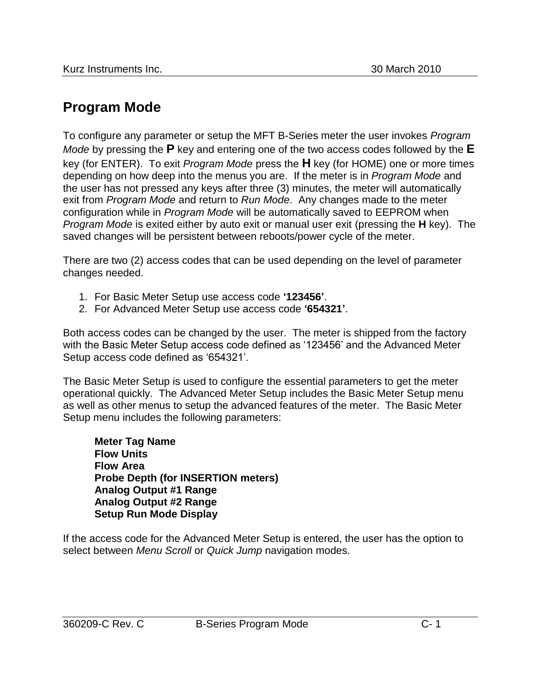## **Program Mode**

To configure any parameter or setup the MFT B-Series meter the user invokes *Program Mode* by pressing the **P** key and entering one of the two access codes followed by the **E** key (for ENTER). To exit *Program Mode* press the **H** key (for HOME) one or more times depending on how deep into the menus you are. If the meter is in *Program Mode* and the user has not pressed any keys after three (3) minutes, the meter will automatically exit from *Program Mode* and return to *Run Mode*. Any changes made to the meter configuration while in *Program Mode* will be automatically saved to EEPROM when *Program Mode* is exited either by auto exit or manual user exit (pressing the **H** key). The saved changes will be persistent between reboots/power cycle of the meter.

There are two (2) access codes that can be used depending on the level of parameter changes needed.

- 1. For Basic Meter Setup use access code **'123456'**.
- 2. For Advanced Meter Setup use access code **'654321'**.

Both access codes can be changed by the user. The meter is shipped from the factory with the Basic Meter Setup access code defined as '123456' and the Advanced Meter Setup access code defined as '654321'.

The Basic Meter Setup is used to configure the essential parameters to get the meter operational quickly. The Advanced Meter Setup includes the Basic Meter Setup menu as well as other menus to setup the advanced features of the meter. The Basic Meter Setup menu includes the following parameters:

**Meter Tag Name Flow Units Flow Area Probe Depth (for INSERTION meters) Analog Output #1 Range Analog Output #2 Range Setup Run Mode Display**

If the access code for the Advanced Meter Setup is entered, the user has the option to select between *Menu Scroll* or *Quick Jump* navigation modes.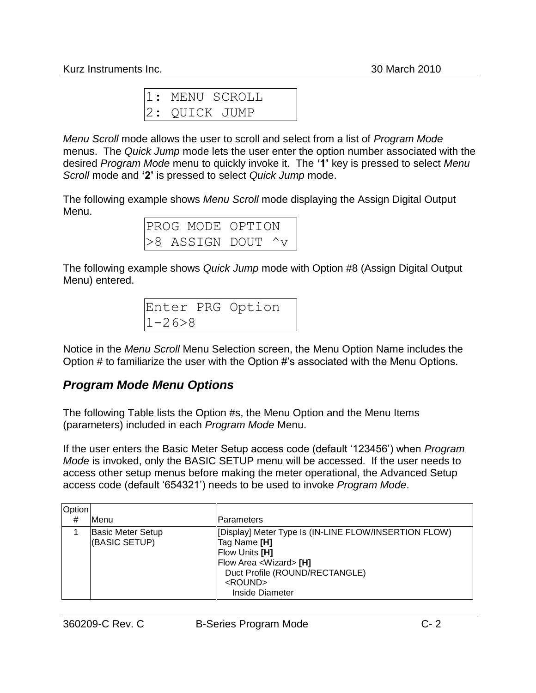```
1: MENU SCROLL
2: QUICK JUMP
```
*Menu Scroll* mode allows the user to scroll and select from a list of *Program Mode* menus. The *Quick Jump* mode lets the user enter the option number associated with the desired *Program Mode* menu to quickly invoke it. The **'1'** key is pressed to select *Menu Scroll* mode and **'2'** is pressed to select *Quick Jump* mode.

The following example shows *Menu Scroll* mode displaying the Assign Digital Output Menu.

| PROG MODE OPTION |  |  |                           |  |  |  |
|------------------|--|--|---------------------------|--|--|--|
|                  |  |  | $>8$ ASSIGN DOUT $\gamma$ |  |  |  |

The following example shows *Quick Jump* mode with Option #8 (Assign Digital Output Menu) entered.

|              | Enter PRG Option |  |
|--------------|------------------|--|
| $1 - 26 > 8$ |                  |  |

Notice in the *Menu Scroll* Menu Selection screen, the Menu Option Name includes the Option # to familiarize the user with the Option #'s associated with the Menu Options.

## *Program Mode Menu Options*

The following Table lists the Option #s, the Menu Option and the Menu Items (parameters) included in each *Program Mode* Menu.

If the user enters the Basic Meter Setup access code (default '123456') when *Program Mode* is invoked, only the BASIC SETUP menu will be accessed. If the user needs to access other setup menus before making the meter operational, the Advanced Setup access code (default '654321') needs to be used to invoke *Program Mode*.

| Option |                                           |                                                                                                                                                                                                              |
|--------|-------------------------------------------|--------------------------------------------------------------------------------------------------------------------------------------------------------------------------------------------------------------|
| #      | lMenu                                     | Parameters                                                                                                                                                                                                   |
|        | <b>Basic Meter Setup</b><br>(BASIC SETUP) | [Display] Meter Type Is (IN-LINE FLOW/INSERTION FLOW)<br>Tag Name [H]<br><b>Flow Units [H]</b><br>Flow Area <wizard> [H]<br/>Duct Profile (ROUND/RECTANGLE)<br/><round><br/>Inside Diameter</round></wizard> |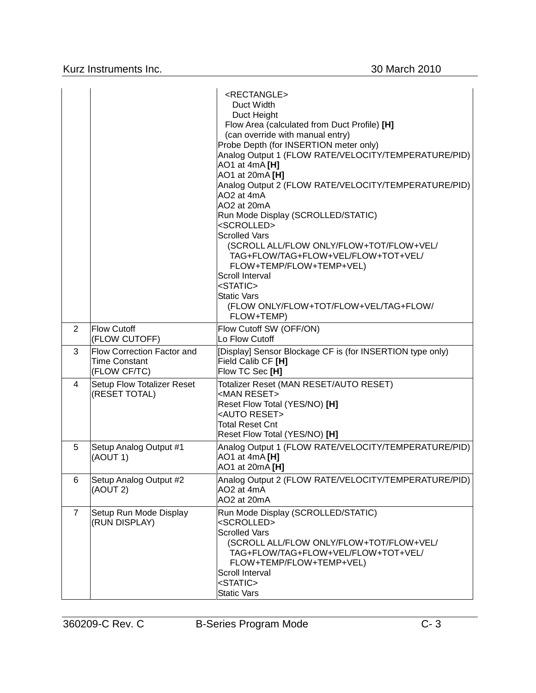|                |                                                                    | <rectangle><br/>Duct Width<br/>Duct Height<br/>Flow Area (calculated from Duct Profile) [H]<br/>(can override with manual entry)<br/>Probe Depth (for INSERTION meter only)<br/>Analog Output 1 (FLOW RATE/VELOCITY/TEMPERATURE/PID)<br/>AO1 at 4mA [H]<br/>AO1 at 20mA [H]<br/>Analog Output 2 (FLOW RATE/VELOCITY/TEMPERATURE/PID)<br/>AO2 at 4mA<br/>AO2 at 20mA<br/>Run Mode Display (SCROLLED/STATIC)<br/><scrolled><br/><b>Scrolled Vars</b><br/>(SCROLL ALL/FLOW ONLY/FLOW+TOT/FLOW+VEL/<br/>TAG+FLOW/TAG+FLOW+VEL/FLOW+TOT+VEL/<br/>FLOW+TEMP/FLOW+TEMP+VEL)<br/>Scroll Interval<br/><static><br/><b>Static Vars</b><br/>(FLOW ONLY/FLOW+TOT/FLOW+VEL/TAG+FLOW/<br/>FLOW+TEMP)</static></scrolled></rectangle> |
|----------------|--------------------------------------------------------------------|------------------------------------------------------------------------------------------------------------------------------------------------------------------------------------------------------------------------------------------------------------------------------------------------------------------------------------------------------------------------------------------------------------------------------------------------------------------------------------------------------------------------------------------------------------------------------------------------------------------------------------------------------------------------------------------------------------------------|
| $\overline{2}$ | Flow Cutoff<br>(FLOW CUTOFF)                                       | Flow Cutoff SW (OFF/ON)<br>Lo Flow Cutoff                                                                                                                                                                                                                                                                                                                                                                                                                                                                                                                                                                                                                                                                              |
| 3              | Flow Correction Factor and<br><b>Time Constant</b><br>(FLOW CF/TC) | [Display] Sensor Blockage CF is (for INSERTION type only)<br>Field Calib CF [H]<br>Flow TC Sec [H]                                                                                                                                                                                                                                                                                                                                                                                                                                                                                                                                                                                                                     |
| 4              | Setup Flow Totalizer Reset<br>(RESET TOTAL)                        | Totalizer Reset (MAN RESET/AUTO RESET)<br><man reset=""><br/>Reset Flow Total (YES/NO) [H]<br/><auto reset=""><br/><b>Total Reset Cnt</b><br/>Reset Flow Total (YES/NO) [H]</auto></man>                                                                                                                                                                                                                                                                                                                                                                                                                                                                                                                               |
| 5              | Setup Analog Output #1<br>(AOUT 1)                                 | Analog Output 1 (FLOW RATE/VELOCITY/TEMPERATURE/PID)<br>AO1 at 4mA [H]<br>AO1 at 20mA [H]                                                                                                                                                                                                                                                                                                                                                                                                                                                                                                                                                                                                                              |
| 6              | Setup Analog Output #2<br>(AOUT 2)                                 | Analog Output 2 (FLOW RATE/VELOCITY/TEMPERATURE/PID)<br>AO <sub>2</sub> at 4m <sub>A</sub><br>AO2 at 20mA                                                                                                                                                                                                                                                                                                                                                                                                                                                                                                                                                                                                              |
| $\overline{7}$ | Setup Run Mode Display<br>(RUN DISPLAY)                            | Run Mode Display (SCROLLED/STATIC)<br><scrolled><br/><b>Scrolled Vars</b><br/>(SCROLL ALL/FLOW ONLY/FLOW+TOT/FLOW+VEL/<br/>TAG+FLOW/TAG+FLOW+VEL/FLOW+TOT+VEL/<br/>FLOW+TEMP/FLOW+TEMP+VEL)<br/>Scroll Interval<br/><static><br/><b>Static Vars</b></static></scrolled>                                                                                                                                                                                                                                                                                                                                                                                                                                                |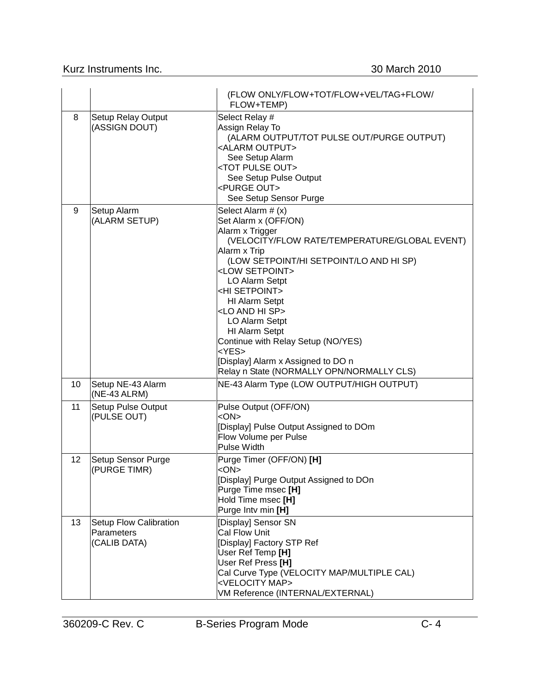## Kurz Instruments Inc. 30 March 2010

|    |                                                      | (FLOW ONLY/FLOW+TOT/FLOW+VEL/TAG+FLOW/<br>FLOW+TEMP)                                                                                                                                                                                                                                                                                                                                                                                                                                                                     |
|----|------------------------------------------------------|--------------------------------------------------------------------------------------------------------------------------------------------------------------------------------------------------------------------------------------------------------------------------------------------------------------------------------------------------------------------------------------------------------------------------------------------------------------------------------------------------------------------------|
| 8  | <b>Setup Relay Output</b><br>(ASSIGN DOUT)           | Select Relay #<br>Assign Relay To<br>(ALARM OUTPUT/TOT PULSE OUT/PURGE OUTPUT)<br><alarm output=""><br/>See Setup Alarm<br/><tot out="" pulse=""><br/>See Setup Pulse Output<br/><purge out=""><br/>See Setup Sensor Purge</purge></tot></alarm>                                                                                                                                                                                                                                                                         |
| 9  | Setup Alarm<br>(ALARM SETUP)                         | Select Alarm # (x)<br>Set Alarm x (OFF/ON)<br>Alarm x Trigger<br>(VELOCITY/FLOW RATE/TEMPERATURE/GLOBAL EVENT)<br>Alarm x Trip<br>(LOW SETPOINT/HI SETPOINT/LO AND HI SP)<br><low setpoint=""><br/>LO Alarm Setpt<br/><hi setpoint=""><br/><b>HI Alarm Setpt</b><br/><lo and="" hi="" sp=""><br/>LO Alarm Setpt<br/>HI Alarm Setpt<br/>Continue with Relay Setup (NO/YES)<br/><math>&lt;</math>YES<math>&gt;</math><br/>[Display] Alarm x Assigned to DO n<br/>Relay n State (NORMALLY OPN/NORMALLY CLS)</lo></hi></low> |
| 10 | Setup NE-43 Alarm<br>(NE-43 ALRM)                    | NE-43 Alarm Type (LOW OUTPUT/HIGH OUTPUT)                                                                                                                                                                                                                                                                                                                                                                                                                                                                                |
| 11 | <b>Setup Pulse Output</b><br>(PULSE OUT)             | Pulse Output (OFF/ON)<br>$<$ ON $>$<br>[Display] Pulse Output Assigned to DOm<br>Flow Volume per Pulse<br>Pulse Width                                                                                                                                                                                                                                                                                                                                                                                                    |
| 12 | Setup Sensor Purge<br>(PURGE TIMR)                   | Purge Timer (OFF/ON) [H]<br><on><br/>[Display] Purge Output Assigned to DOn<br/>Purge Time msec [H]<br/>Hold Time msec [H]<br/>Purge Intv min [H]</on>                                                                                                                                                                                                                                                                                                                                                                   |
| 13 | Setup Flow Calibration<br>Parameters<br>(CALIB DATA) | [Display] Sensor SN<br><b>Cal Flow Unit</b><br>[Display] Factory STP Ref<br>User Ref Temp [H]<br>User Ref Press [H]<br>Cal Curve Type (VELOCITY MAP/MULTIPLE CAL)<br><velocity map=""><br/>VM Reference (INTERNAL/EXTERNAL)</velocity>                                                                                                                                                                                                                                                                                   |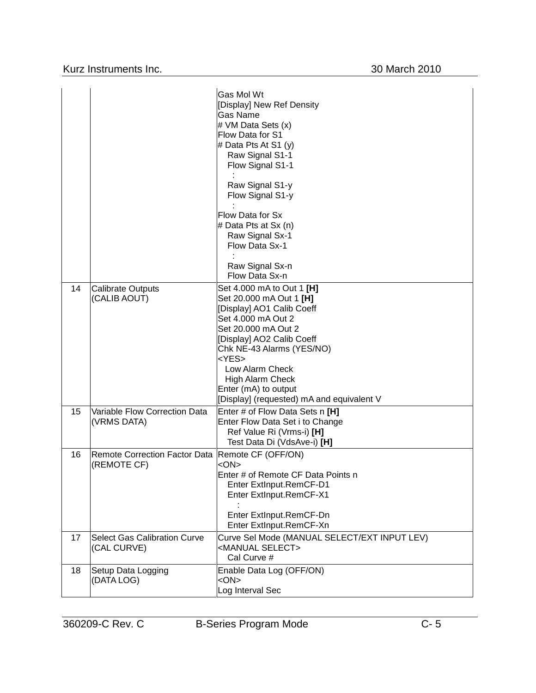|    |                                                                   | Gas Mol Wt<br>[Display] New Ref Density<br>Gas Name<br># VM Data Sets (x)<br>Flow Data for S1<br># Data Pts At S1 $(y)$<br>Raw Signal S1-1<br>Flow Signal S1-1<br>Raw Signal S1-y<br>Flow Signal S1-y<br>Flow Data for Sx<br># Data Pts at Sx (n)<br>Raw Signal Sx-1<br>Flow Data Sx-1<br>Raw Signal Sx-n<br>Flow Data Sx-n |
|----|-------------------------------------------------------------------|-----------------------------------------------------------------------------------------------------------------------------------------------------------------------------------------------------------------------------------------------------------------------------------------------------------------------------|
| 14 | <b>Calibrate Outputs</b><br>(CALIB AOUT)                          | Set 4.000 mA to Out 1 [H]<br>Set 20.000 mA Out 1 [H]<br>[Display] AO1 Calib Coeff<br>Set 4.000 mA Out 2<br>Set 20.000 mA Out 2<br>[Display] AO2 Calib Coeff<br>Chk NE-43 Alarms (YES/NO)<br>$<$ YES $>$<br>Low Alarm Check<br>High Alarm Check<br>Enter (mA) to output<br>[Display] (requested) mA and equivalent V         |
| 15 | Variable Flow Correction Data<br>(VRMS DATA)                      | Enter # of Flow Data Sets n [H]<br>Enter Flow Data Set i to Change<br>Ref Value Ri (Vrms-i) [H]<br>Test Data Di (VdsAve-i) [H]                                                                                                                                                                                              |
| 16 | Remote Correction Factor Data   Remote CF (OFF/ON)<br>(REMOTE CF) | $<$ ON $>$<br>Enter # of Remote CF Data Points n<br>Enter ExtInput.RemCF-D1<br>Enter ExtInput.RemCF-X1<br>Enter ExtInput.RemCF-Dn<br>Enter ExtInput.RemCF-Xn                                                                                                                                                                |
| 17 | <b>Select Gas Calibration Curve</b><br>(CAL CURVE)                | Curve Sel Mode (MANUAL SELECT/EXT INPUT LEV)<br><manual select=""><br/>Cal Curve #</manual>                                                                                                                                                                                                                                 |
| 18 | Setup Data Logging<br>(DATA LOG)                                  | Enable Data Log (OFF/ON)<br>$<$ ON $>$<br>Log Interval Sec                                                                                                                                                                                                                                                                  |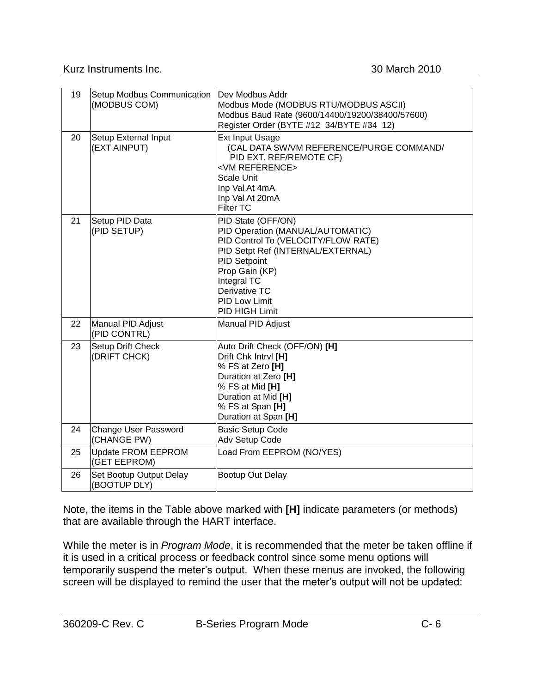Kurz Instruments Inc. 30 March 2010

| 19 | Setup Modbus Communication<br>(MODBUS COM) | Dev Modbus Addr<br>Modbus Mode (MODBUS RTU/MODBUS ASCII)<br>Modbus Baud Rate (9600/14400/19200/38400/57600)<br>Register Order (BYTE #12 34/BYTE #34 12)                                                                                                      |
|----|--------------------------------------------|--------------------------------------------------------------------------------------------------------------------------------------------------------------------------------------------------------------------------------------------------------------|
| 20 | Setup External Input<br>(EXT AINPUT)       | <b>Ext Input Usage</b><br>(CAL DATA SW/VM REFERENCE/PURGE COMMAND/<br>PID EXT. REF/REMOTE CF)<br><vm reference=""><br/>Scale Unit<br/>Inp Val At 4mA<br/>Inp Val At 20mA<br/><b>Filter TC</b></vm>                                                           |
| 21 | Setup PID Data<br>(PID SETUP)              | PID State (OFF/ON)<br>PID Operation (MANUAL/AUTOMATIC)<br>PID Control To (VELOCITY/FLOW RATE)<br>PID Setpt Ref (INTERNAL/EXTERNAL)<br><b>PID Setpoint</b><br>Prop Gain (KP)<br>Integral TC<br>Derivative TC<br><b>PID Low Limit</b><br><b>PID HIGH Limit</b> |
| 22 | Manual PID Adjust<br>(PID CONTRL)          | Manual PID Adjust                                                                                                                                                                                                                                            |
| 23 | Setup Drift Check<br>(DRIFT CHCK)          | Auto Drift Check (OFF/ON) [H]<br>Drift Chk Intrvl [H]<br>% FS at Zero [H]<br>Duration at Zero [H]<br>% FS at Mid [H]<br>Duration at Mid [H]<br>% FS at Span [H]<br>Duration at Span [H]                                                                      |
| 24 | Change User Password<br>(CHANGE PW)        | <b>Basic Setup Code</b><br>Adv Setup Code                                                                                                                                                                                                                    |
| 25 | Update FROM EEPROM<br>(GET EEPROM)         | Load From EEPROM (NO/YES)                                                                                                                                                                                                                                    |
| 26 | Set Bootup Output Delay<br>(BOOTUP DLY)    | Bootup Out Delay                                                                                                                                                                                                                                             |

Note, the items in the Table above marked with **[H]** indicate parameters (or methods) that are available through the HART interface.

While the meter is in *Program Mode*, it is recommended that the meter be taken offline if it is used in a critical process or feedback control since some menu options will temporarily suspend the meter's output. When these menus are invoked, the following screen will be displayed to remind the user that the meter's output will not be updated: